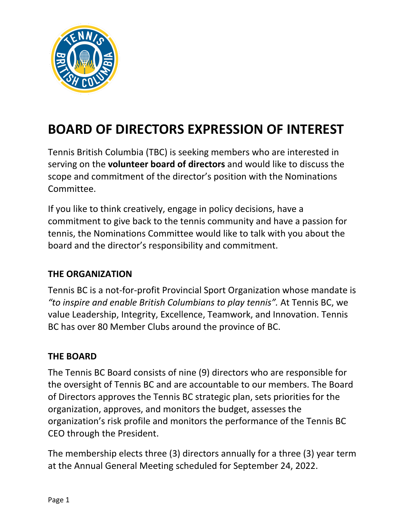

# **BOARD OF DIRECTORS EXPRESSION OF INTEREST**

Tennis British Columbia (TBC) is seeking members who are interested in serving on the **volunteer board of directors** and would like to discuss the scope and commitment of the director's position with the Nominations Committee.

If you like to think creatively, engage in policy decisions, have a commitment to give back to the tennis community and have a passion for tennis, the Nominations Committee would like to talk with you about the board and the director's responsibility and commitment.

#### **THE ORGANIZATION**

Tennis BC is a not-for-profit Provincial Sport Organization whose mandate is *"to inspire and enable British Columbians to play tennis".* At Tennis BC, we value Leadership, Integrity, Excellence, Teamwork, and Innovation. Tennis BC has over 80 Member Clubs around the province of BC.

### **THE BOARD**

The Tennis BC Board consists of nine (9) directors who are responsible for the oversight of Tennis BC and are accountable to our members. The Board of Directors approves the Tennis BC strategic plan, sets priorities for the organization, approves, and monitors the budget, assesses the organization's risk profile and monitors the performance of the Tennis BC CEO through the President.

The membership elects three (3) directors annually for a three (3) year term at the Annual General Meeting scheduled for September 24, 2022.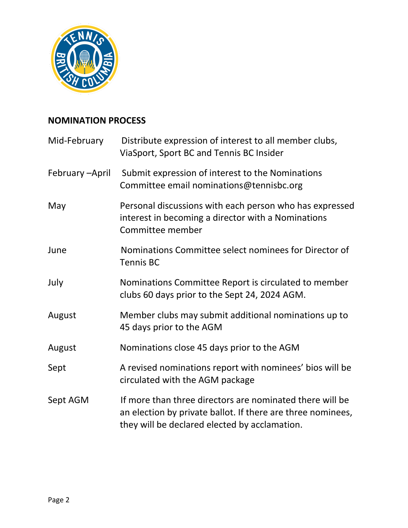

## **NOMINATION PROCESS**

| Mid-February   | Distribute expression of interest to all member clubs,<br>ViaSport, Sport BC and Tennis BC Insider                                                                       |  |
|----------------|--------------------------------------------------------------------------------------------------------------------------------------------------------------------------|--|
| February-April | Submit expression of interest to the Nominations<br>Committee email nominations@tennisbc.org                                                                             |  |
| May            | Personal discussions with each person who has expressed<br>interest in becoming a director with a Nominations<br>Committee member                                        |  |
| June           | Nominations Committee select nominees for Director of<br><b>Tennis BC</b>                                                                                                |  |
| July           | Nominations Committee Report is circulated to member<br>clubs 60 days prior to the Sept 24, 2024 AGM.                                                                    |  |
| August         | Member clubs may submit additional nominations up to<br>45 days prior to the AGM                                                                                         |  |
| August         | Nominations close 45 days prior to the AGM                                                                                                                               |  |
| Sept           | A revised nominations report with nominees' bios will be<br>circulated with the AGM package                                                                              |  |
| Sept AGM       | If more than three directors are nominated there will be<br>an election by private ballot. If there are three nominees,<br>they will be declared elected by acclamation. |  |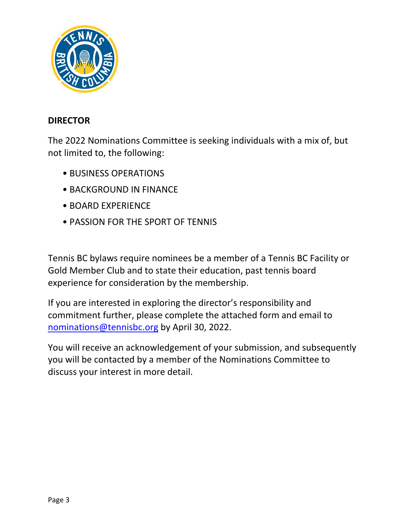

#### **DIRECTOR**

The 2022 Nominations Committee is seeking individuals with a mix of, but not limited to, the following:

- BUSINESS OPERATIONS
- BACKGROUND IN FINANCE
- BOARD EXPERIENCE
- PASSION FOR THE SPORT OF TENNIS

Tennis BC bylaws require nominees be a member of a Tennis BC Facility or Gold Member Club and to state their education, past tennis board experience for consideration by the membership.

If you are interested in exploring the director's responsibility and commitment further, please complete the attached form and email to [nominations@tennisbc.org](mailto:nominations@tennisbc.org) by April 30, 2022.

You will receive an acknowledgement of your submission, and subsequently you will be contacted by a member of the Nominations Committee to discuss your interest in more detail.